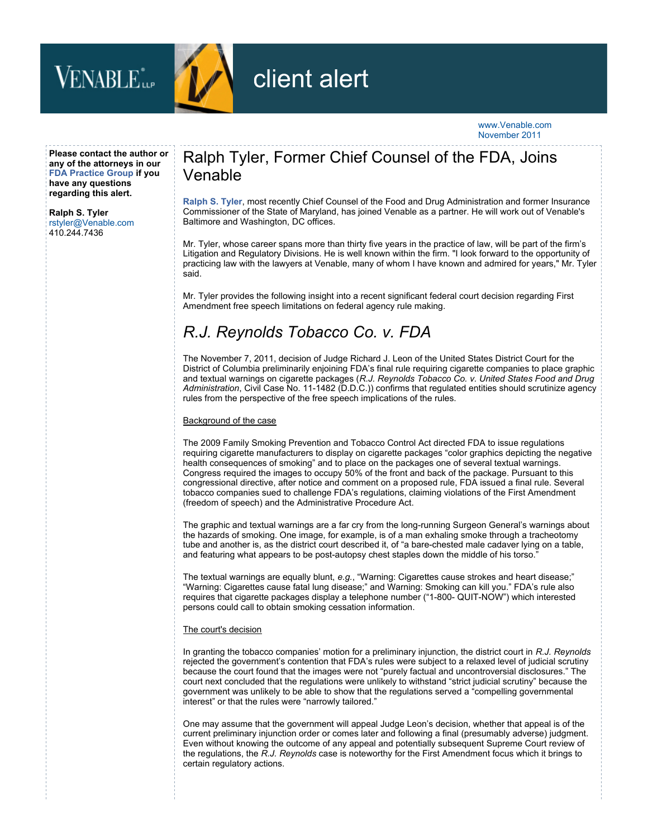



# client alert

### www.Venable.com November 2011

**Please contact the author or any of the attorneys in our [FDA Practice Group](http://www.venable.com/Drugs-Medical-Devices-Biologics) if you have any questions regarding this alert.**

### **[Ralph S. Tyler](http://www.venable.com/ralph-s-tyler/)**

rstyler@Venable.com 410.244.7436

### Ralph Tyler, Former Chief Counsel of the FDA, Joins Venable

**[Ralph S. Tyler](http://www.venable.com/ralph-s-tyler/)**, most recently Chief Counsel of the Food and Drug Administration and former Insurance Commissioner of the State of Maryland, has joined Venable as a partner. He will work out of Venable's Baltimore and Washington, DC offices.

Mr. Tyler, whose career spans more than thirty five years in the practice of law, will be part of the firm's Litigation and Regulatory Divisions. He is well known within the firm. "I look forward to the opportunity of practicing law with the lawyers at Venable, many of whom I have known and admired for years," Mr. Tyler said.

Mr. Tyler provides the following insight into a recent significant federal court decision regarding First Amendment free speech limitations on federal agency rule making.

## *R.J. Reynolds Tobacco Co. v. FDA*

The November 7, 2011, decision of Judge Richard J. Leon of the United States District Court for the District of Columbia preliminarily enjoining FDA's final rule requiring cigarette companies to place graphic and textual warnings on cigarette packages (*R.J. Reynolds Tobacco Co. v. United States Food and Drug Administration*, Civil Case No. 11-1482 (D.D.C.)) confirms that regulated entities should scrutinize agency rules from the perspective of the free speech implications of the rules.

### Background of the case

The 2009 Family Smoking Prevention and Tobacco Control Act directed FDA to issue regulations requiring cigarette manufacturers to display on cigarette packages "color graphics depicting the negative health consequences of smoking" and to place on the packages one of several textual warnings. Congress required the images to occupy 50% of the front and back of the package. Pursuant to this congressional directive, after notice and comment on a proposed rule, FDA issued a final rule. Several tobacco companies sued to challenge FDA's regulations, claiming violations of the First Amendment (freedom of speech) and the Administrative Procedure Act.

The graphic and textual warnings are a far cry from the long-running Surgeon General's warnings about the hazards of smoking. One image, for example, is of a man exhaling smoke through a tracheotomy tube and another is, as the district court described it, of "a bare-chested male cadaver lying on a table, and featuring what appears to be post-autopsy chest staples down the middle of his torso."

The textual warnings are equally blunt, *e.g.*, "Warning: Cigarettes cause strokes and heart disease;" "Warning: Cigarettes cause fatal lung disease;" and Warning: Smoking can kill you." FDA's rule also requires that cigarette packages display a telephone number ("1-800- QUIT-NOW") which interested persons could call to obtain smoking cessation information.

### The court's decision

In granting the tobacco companies' motion for a preliminary injunction, the district court in *R.J. Reynolds* rejected the government's contention that FDA's rules were subject to a relaxed level of judicial scrutiny because the court found that the images were not "purely factual and uncontroversial disclosures." The court next concluded that the regulations were unlikely to withstand "strict judicial scrutiny" because the government was unlikely to be able to show that the regulations served a "compelling governmental interest" or that the rules were "narrowly tailored."

One may assume that the government will appeal Judge Leon's decision, whether that appeal is of the current preliminary injunction order or comes later and following a final (presumably adverse) judgment. Even without knowing the outcome of any appeal and potentially subsequent Supreme Court review of the regulations, the *R.J. Reynolds* case is noteworthy for the First Amendment focus which it brings to certain regulatory actions.